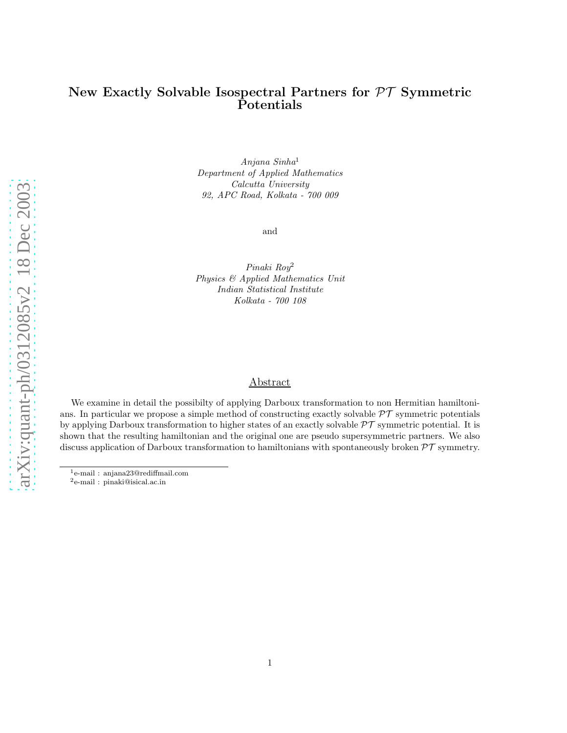# New Exactly Solvable Isospectral Partners for PT Symmetric Potentials

Anjana Sinha<sup>1</sup> Department of Applied Mathematics Calcutta University 92, APC Road, Kolkata - 700 009

and

Pinaki Roy<sup>2</sup> Physics & Applied Mathematics Unit Indian Statistical Institute Kolkata - 700 108

#### Abstract

We examine in detail the possibilty of applying Darboux transformation to non Hermitian hamiltonians. In particular we propose a simple method of constructing exactly solvable  $\mathcal{PT}$  symmetric potentials by applying Darboux transformation to higher states of an exactly solvable  $\mathcal{PT}$  symmetric potential. It is shown that the resulting hamiltonian and the original one are pseudo supersymmetric partners. We also discuss application of Darboux transformation to hamiltonians with spontaneously broken  $\mathcal{PT}$  symmetry.

<sup>1</sup>e-mail : anjana23@rediffmail.com

<sup>2</sup>e-mail : pinaki@isical.ac.in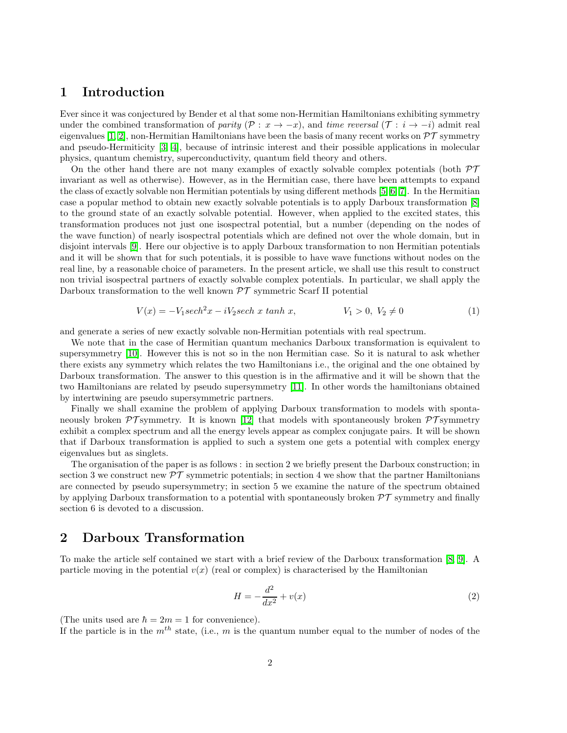## 1 Introduction

Ever since it was conjectured by Bender et al that some non-Hermitian Hamiltonians exhibiting symmetry under the combined transformation of parity ( $\mathcal{P}: x \to -x$ ), and time reversal ( $\mathcal{T}: i \to -i$ ) admit real eigenvalues [\[1,](#page-9-0) [2\]](#page-9-1), non-Hermitian Hamiltonians have been the basis of many recent works on  $\mathcal{PT}$  symmetry and pseudo-Hermiticity [\[3,](#page-9-2) [4\]](#page-9-3), because of intrinsic interest and their possible applications in molecular physics, quantum chemistry, superconductivity, quantum field theory and others.

On the other hand there are not many examples of exactly solvable complex potentials (both  $\mathcal{PT}$ invariant as well as otherwise). However, as in the Hermitian case, there have been attempts to expand the class of exactly solvable non Hermitian potentials by using different methods [\[5,](#page-9-4) [6,](#page-9-5) [7\]](#page-9-6). In the Hermitian case a popular method to obtain new exactly solvable potentials is to apply Darboux transformation [\[8\]](#page-9-7) to the ground state of an exactly solvable potential. However, when applied to the excited states, this transformation produces not just one isospectral potential, but a number (depending on the nodes of the wave function) of nearly isospectral potentials which are defined not over the whole domain, but in disjoint intervals [\[9\]](#page-9-8). Here our objective is to apply Darboux transformation to non Hermitian potentials and it will be shown that for such potentials, it is possible to have wave functions without nodes on the real line, by a reasonable choice of parameters. In the present article, we shall use this result to construct non trivial isospectral partners of exactly solvable complex potentials. In particular, we shall apply the Darboux transformation to the well known  $\mathcal{PT}$  symmetric Scarf II potential

$$
V(x) = -V_1 sech^2 x - iV_2 sech \; x \; tanh \; x, \qquad V_1 > 0, \; V_2 \neq 0 \tag{1}
$$

<span id="page-1-0"></span>and generate a series of new exactly solvable non-Hermitian potentials with real spectrum.

We note that in the case of Hermitian quantum mechanics Darboux transformation is equivalent to supersymmetry [\[10\]](#page-9-9). However this is not so in the non Hermitian case. So it is natural to ask whether there exists any symmetry which relates the two Hamiltonians i.e., the original and the one obtained by Darboux transformation. The answer to this question is in the affirmative and it will be shown that the two Hamiltonians are related by pseudo supersymmetry [\[11\]](#page-9-10). In other words the hamiltonians obtained by intertwining are pseudo supersymmetric partners.

Finally we shall examine the problem of applying Darboux transformation to models with spontaneously broken  $\mathcal{PT}$  symmetry. It is known [\[12\]](#page-9-11) that models with spontaneously broken  $\mathcal{PT}$  symmetry exhibit a complex spectrum and all the energy levels appear as complex conjugate pairs. It will be shown that if Darboux transformation is applied to such a system one gets a potential with complex energy eigenvalues but as singlets.

The organisation of the paper is as follows : in section 2 we briefly present the Darboux construction; in section 3 we construct new  $\mathcal{PT}$  symmetric potentials; in section 4 we show that the partner Hamiltonians are connected by pseudo supersymmetry; in section 5 we examine the nature of the spectrum obtained by applying Darboux transformation to a potential with spontaneously broken  $\mathcal{PT}$  symmetry and finally section 6 is devoted to a discussion.

# 2 Darboux Transformation

To make the article self contained we start with a brief review of the Darboux transformation [\[8,](#page-9-7) [9\]](#page-9-8). A particle moving in the potential  $v(x)$  (real or complex) is characterised by the Hamiltonian

$$
H = -\frac{d^2}{dx^2} + v(x) \tag{2}
$$

(The units used are  $\hbar = 2m = 1$  for convenience).

If the particle is in the  $m^{th}$  state, (i.e., m is the quantum number equal to the number of nodes of the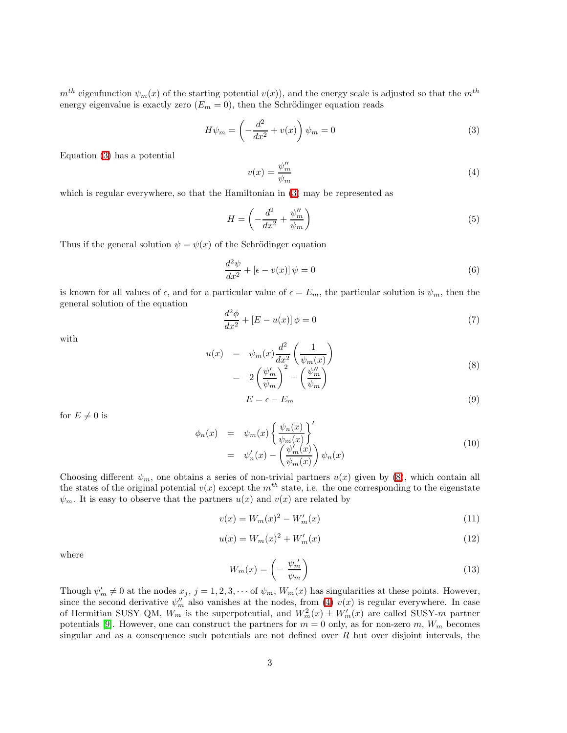$m<sup>th</sup>$  eigenfunction  $\psi_m(x)$  of the starting potential  $v(x)$ , and the energy scale is adjusted so that the  $m<sup>th</sup>$ energy eigenvalue is exactly zero  $(E_m = 0)$ , then the Schrödinger equation reads

<span id="page-2-2"></span><span id="page-2-0"></span>
$$
H\psi_m = \left(-\frac{d^2}{dx^2} + v(x)\right)\psi_m = 0\tag{3}
$$

Equation [\(3\)](#page-2-0) has a potential

$$
v(x) = \frac{\psi_m^{\prime\prime}}{\psi_m} \tag{4}
$$

which is regular everywhere, so that the Hamiltonian in [\(3\)](#page-2-0) may be represented as

$$
H = \left(-\frac{d^2}{dx^2} + \frac{\psi_m^{\prime\prime}}{\psi_m}\right) \tag{5}
$$

Thus if the general solution  $\psi = \psi(x)$  of the Schrödinger equation

$$
\frac{d^2\psi}{dx^2} + \left[\epsilon - v(x)\right]\psi = 0\tag{6}
$$

is known for all values of  $\epsilon$ , and for a particular value of  $\epsilon = E_m$ , the particular solution is  $\psi_m$ , then the general solution of the equation

$$
\frac{d^2\phi}{dx^2} + [E - u(x)]\phi = 0\tag{7}
$$

with

<span id="page-2-1"></span>
$$
u(x) = \psi_m(x) \frac{d^2}{dx^2} \left( \frac{1}{\psi_m(x)} \right)
$$
  
= 
$$
2 \left( \frac{\psi'_m}{\psi_m} \right)^2 - \left( \frac{\psi''_m}{\psi_m} \right)
$$
 (8)

$$
E = \epsilon - E_m \tag{9}
$$

<span id="page-2-3"></span>for  $E \neq 0$  is

$$
\begin{array}{rcl}\n\phi_n(x) & = & \psi_m(x) \left\{ \frac{\psi_n(x)}{\psi_m(x)} \right\}' \\
& = & \psi'_n(x) - \left( \frac{\psi'_m(x)}{\psi_m(x)} \right) \psi_n(x)\n\end{array} \tag{10}
$$

Choosing different  $\psi_m$ , one obtains a series of non-trivial partners  $u(x)$  given by [\(8\)](#page-2-1), which contain all the states of the original potential  $v(x)$  except the  $m<sup>th</sup>$  state, i.e. the one corresponding to the eigenstate  $\psi_m$ . It is easy to observe that the partners  $u(x)$  and  $v(x)$  are related by

$$
v(x) = W_m(x)^2 - W'_m(x)
$$
\n(11)

<span id="page-2-4"></span>
$$
u(x) = W_m(x)^2 + W'_m(x)
$$
\n(12)

where

$$
W_m(x) = \left(-\frac{\psi_m'}{\psi_m}\right) \tag{13}
$$

Though  $\psi'_m \neq 0$  at the nodes  $x_j$ ,  $j = 1, 2, 3, \cdots$  of  $\psi_m$ ,  $W_m(x)$  has singularities at these points. However, since the second derivative  $\psi''_m$  also vanishes at the nodes, from [\(4\)](#page-2-2)  $v(x)$  is regular everywhere. In case of Hermitian SUSY QM,  $W_m$  is the superpotential, and  $W_m^2(x) \pm W_m'(x)$  are called SUSY-m partner potentials [\[9\]](#page-9-8). However, one can construct the partners for  $m = 0$  only, as for non-zero  $m$ ,  $W_m$  becomes singular and as a consequence such potentials are not defined over  $R$  but over disjoint intervals, the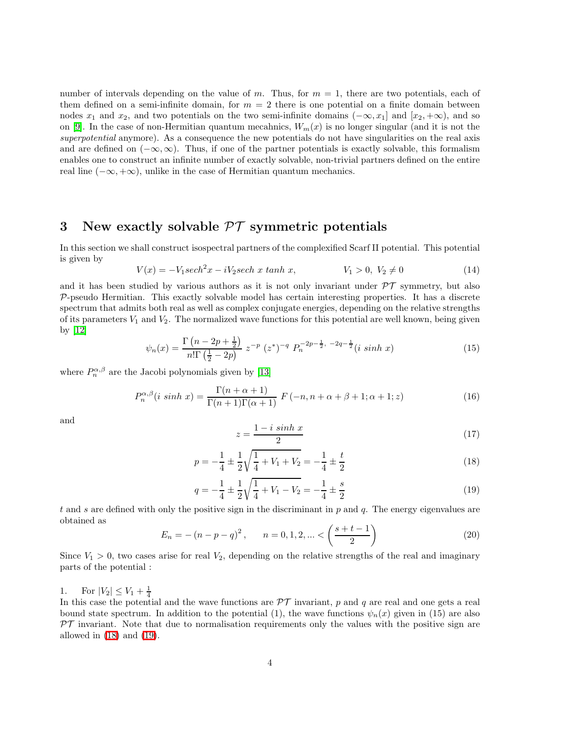number of intervals depending on the value of m. Thus, for  $m = 1$ , there are two potentials, each of them defined on a semi-infinite domain, for  $m = 2$  there is one potential on a finite domain between nodes  $x_1$  and  $x_2$ , and two potentials on the two semi-infinite domains  $(-\infty, x_1]$  and  $[x_2, +\infty)$ , and so on [\[9\]](#page-9-8). In the case of non-Hermitian quantum mecahnics,  $W_m(x)$  is no longer singular (and it is not the superpotential anymore). As a consequence the new potentials do not have singularities on the real axis and are defined on  $(-\infty, \infty)$ . Thus, if one of the partner potentials is exactly solvable, this formalism enables one to construct an infinite number of exactly solvable, non-trivial partners defined on the entire real line  $(-\infty, +\infty)$ , unlike in the case of Hermitian quantum mechanics.

# 3 New exactly solvable  $\mathcal{PT}$  symmetric potentials

In this section we shall construct isospectral partners of the complexified Scarf II potential. This potential is given by

$$
V(x) = -V_1 sech^2 x - iV_2 sech \; x \; tanh \; x, \qquad V_1 > 0, \; V_2 \neq 0 \tag{14}
$$

and it has been studied by various authors as it is not only invariant under  $\mathcal{PT}$  symmetry, but also  $P$ -pseudo Hermitian. This exactly solvable model has certain interesting properties. It has a discrete spectrum that admits both real as well as complex conjugate energies, depending on the relative strengths of its parameters  $V_1$  and  $V_2$ . The normalized wave functions for this potential are well known, being given by [\[12\]](#page-9-11)

$$
\psi_n(x) = \frac{\Gamma\left(n - 2p + \frac{1}{2}\right)}{n!\Gamma\left(\frac{1}{2} - 2p\right)} z^{-p} \left(z^*\right)^{-q} P_n^{-2p - \frac{1}{2}, -2q - \frac{1}{2}}(i \sinh x)
$$
\n(15)

<span id="page-3-2"></span>where  $P_n^{\alpha,\beta}$  are the Jacobi polynomials given by [\[13\]](#page-9-12)

$$
P_n^{\alpha,\beta}(i\,\sinh\,x) = \frac{\Gamma(n+\alpha+1)}{\Gamma(n+1)\Gamma(\alpha+1)}\,F\left(-n,n+\alpha+\beta+1;\alpha+1;z\right) \tag{16}
$$

and

$$
z = \frac{1 - i \sinh x}{2} \tag{17}
$$

<span id="page-3-0"></span>
$$
p = -\frac{1}{4} \pm \frac{1}{2} \sqrt{\frac{1}{4} + V_1 + V_2} = -\frac{1}{4} \pm \frac{t}{2}
$$
 (18)

$$
q = -\frac{1}{4} \pm \frac{1}{2} \sqrt{\frac{1}{4} + V_1 - V_2} = -\frac{1}{4} \pm \frac{s}{2}
$$
 (19)

t and s are defined with only the positive sign in the discriminant in p and q. The energy eigenvalues are obtained as

<span id="page-3-1"></span>
$$
E_n = -(n - p - q)^2, \qquad n = 0, 1, 2, \dots < \left(\frac{s + t - 1}{2}\right) \tag{20}
$$

Since  $V_1 > 0$ , two cases arise for real  $V_2$ , depending on the relative strengths of the real and imaginary parts of the potential :

1. For  $|V_2| \le V_1 + \frac{1}{4}$ 

In this case the potential and the wave functions are  $\mathcal{PT}$  invariant, p and q are real and one gets a real bound state spectrum. In addition to the potential (1), the wave functions  $\psi_n(x)$  given in (15) are also  $\mathcal{PT}$  invariant. Note that due to normalisation requirements only the values with the positive sign are allowed in  $(18)$  and  $(19)$ .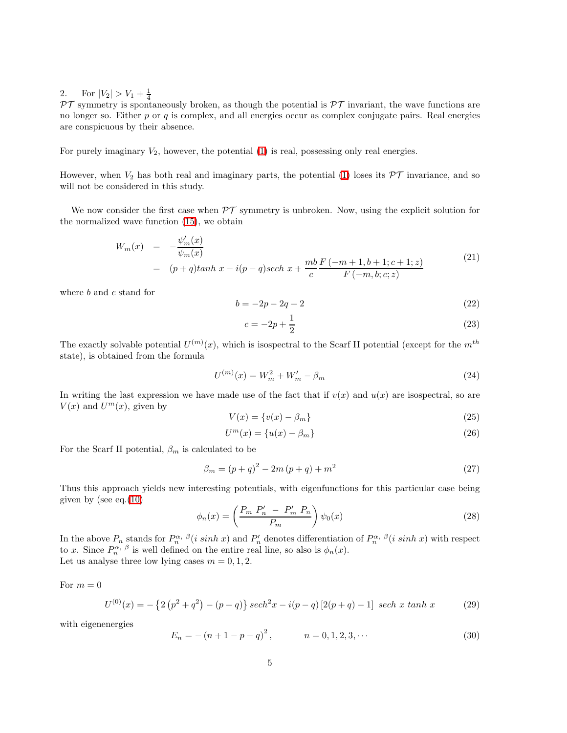2. For  $|V_2| > V_1 + \frac{1}{4}$ 

 $\mathcal{PT}$  symmetry is spontaneously broken, as though the potential is  $\mathcal{PT}$  invariant, the wave functions are no longer so. Either  $p$  or  $q$  is complex, and all energies occur as complex conjugate pairs. Real energies are conspicuous by their absence.

For purely imaginary  $V_2$ , however, the potential  $(1)$  is real, possessing only real energies.

However, when  $V_2$  has both real and imaginary parts, the potential [\(1\)](#page-1-0) loses its  $\mathcal{PT}$  invariance, and so will not be considered in this study.

We now consider the first case when  $\mathcal{PT}$  symmetry is unbroken. Now, using the explicit solution for the normalized wave function [\(15\)](#page-3-2), we obtain

$$
W_m(x) = -\frac{\psi'_m(x)}{\psi_m(x)}
$$
  
=  $(p+q)\tanh x - i(p-q)\sech x + \frac{mb}{c} \frac{F(-m+1, b+1; c+1; z)}{F(-m, b; c; z)}$  (21)

where  $b$  and  $c$  stand for

$$
b = -2p - 2q + 2 \tag{22}
$$

$$
c = -2p + \frac{1}{2} \tag{23}
$$

The exactly solvable potential  $U^{(m)}(x)$ , which is isospectral to the Scarf II potential (except for the  $m^{th}$ state), is obtained from the formula

$$
U^{(m)}(x) = W_m^2 + W_m' - \beta_m \tag{24}
$$

In writing the last expression we have made use of the fact that if  $v(x)$  and  $u(x)$  are isospectral, so are  $V(x)$  and  $U^m(x)$ , given by

$$
V(x) = \{v(x) - \beta_m\}
$$
\n<sup>(25)</sup>

$$
U^m(x) = \{u(x) - \beta_m\}
$$
\n<sup>(26)</sup>

For the Scarf II potential,  $\beta_m$  is calculated to be

$$
\beta_m = (p+q)^2 - 2m(p+q) + m^2 \tag{27}
$$

Thus this approach yields new interesting potentials, with eigenfunctions for this particular case being given by (see eq. $(10)$ )

$$
\phi_n(x) = \left(\frac{P_m P'_n - P'_m P_n}{P_m}\right) \psi_0(x) \tag{28}
$$

In the above  $P_n$  stands for  $P_n^{\alpha, \beta}(i \sinh x)$  and  $P_n'$  denotes differentiation of  $P_n^{\alpha, \beta}(i \sinh x)$  with respect to x. Since  $P_n^{\alpha, \beta}$  is well defined on the entire real line, so also is  $\phi_n(x)$ . Let us analyse three low lying cases  $m = 0, 1, 2$ .

<span id="page-4-0"></span>For 
$$
m = 0
$$

$$
U^{(0)}(x) = -\left\{2\left(p^2 + q^2\right) - (p+q)\right\} sech^2 x - i(p-q)\left[2(p+q) - 1\right] sech\ x\tanh x \tag{29}
$$

with eigenenergies

$$
E_n = -(n+1-p-q)^2, \qquad n = 0, 1, 2, 3, \cdots \qquad (30)
$$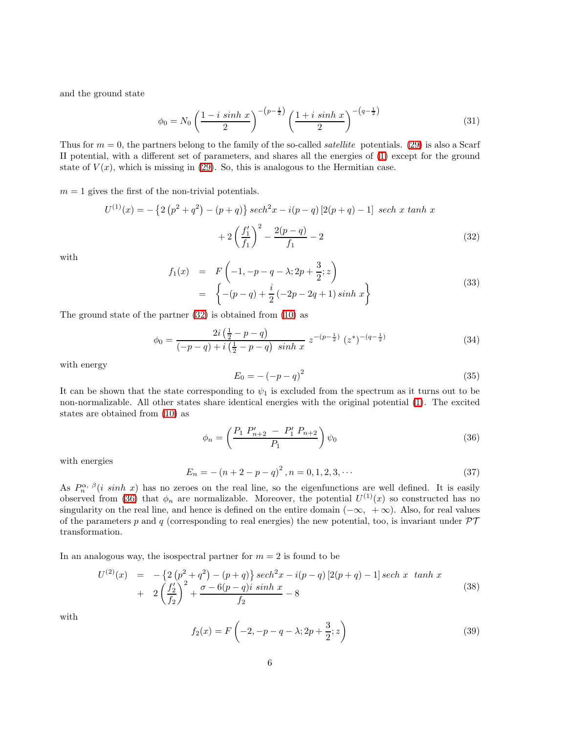and the ground state

$$
\phi_0 = N_0 \left( \frac{1 - i \sinh x}{2} \right)^{-(p - \frac{1}{2})} \left( \frac{1 + i \sinh x}{2} \right)^{-(q - \frac{1}{2})} \tag{31}
$$

Thus for  $m = 0$ , the partners belong to the family of the so-called *satellite* potentials. [\(29\)](#page-4-0) is also a Scarf II potential, with a different set of parameters, and shares all the energies of [\(1\)](#page-1-0) except for the ground state of  $V(x)$ , which is missing in [\(29\)](#page-4-0). So, this is analogous to the Hermitian case.

 $m = 1$  gives the first of the non-trivial potentials.

$$
U^{(1)}(x) = -\left\{2\left(p^2 + q^2\right) - (p+q)\right\} sech^2 x - i(p-q)\left[2(p+q) - 1\right] sech x \tanh x
$$

$$
+ 2\left(\frac{f'_1}{f_1}\right)^2 - \frac{2(p-q)}{f_1} - 2\tag{32}
$$

with

<span id="page-5-0"></span>
$$
f_1(x) = F\left(-1, -p - q - \lambda; 2p + \frac{3}{2}; z\right)
$$
  
= 
$$
\left\{-(p - q) + \frac{i}{2}(-2p - 2q + 1)\sinh x\right\}
$$
 (33)

The ground state of the partner [\(32\)](#page-5-0) is obtained from [\(10\)](#page-2-3) as

$$
\phi_0 = \frac{2i\left(\frac{1}{2} - p - q\right)}{\left(-p - q\right) + i\left(\frac{1}{2} - p - q\right)\sinh x} z^{-\left(p - \frac{1}{2}\right)} \left(z^*\right)^{-\left(q - \frac{1}{2}\right)} \tag{34}
$$

with energy

$$
E_0 = -(-p - q)^2 \tag{35}
$$

It can be shown that the state corresponding to  $\psi_1$  is excluded from the spectrum as it turns out to be non-normalizable. All other states share identical energies with the original potential [\(1\)](#page-1-0). The excited states are obtained from [\(10\)](#page-2-3) as

$$
\phi_n = \left(\frac{P_1 \ P'_{n+2} - P'_1 \ P_{n+2}}{P_1}\right) \psi_0 \tag{36}
$$

with energies

<span id="page-5-1"></span>
$$
E_n = -(n+2-p-q)^2, n = 0, 1, 2, 3, \cdots
$$
\n(37)

As  $P_n^{\alpha, \beta}(i \sinh x)$  has no zeroes on the real line, so the eigenfunctions are well defined. It is easily observed from [\(36\)](#page-5-1) that  $\phi_n$  are normalizable. Moreover, the potential  $U^{(1)}(x)$  so constructed has no singularity on the real line, and hence is defined on the entire domain  $(-\infty, +\infty)$ . Also, for real values of the parameters p and q (corresponding to real energies) the new potential, too, is invariant under  $\mathcal{PT}$ transformation.

In an analogous way, the isospectral partner for  $m = 2$  is found to be

$$
U^{(2)}(x) = -\left\{2\left(p^2 + q^2\right) - (p+q)\right\} sech^2 x - i(p-q) \left[2(p+q) - 1\right] sech x \ \tanh x + 2\left(\frac{f'_2}{f_2}\right)^2 + \frac{\sigma - 6(p-q)i\ \sinh x}{f_2} - 8
$$
\n(38)

with

$$
f_2(x) = F\left(-2, -p - q - \lambda; 2p + \frac{3}{2}; z\right)
$$
 (39)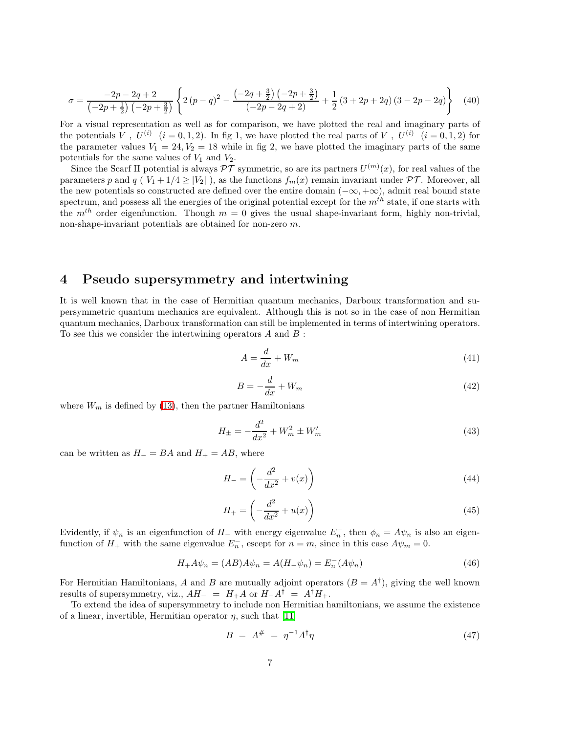$$
\sigma = \frac{-2p - 2q + 2}{\left(-2p + \frac{1}{2}\right)\left(-2p + \frac{3}{2}\right)} \left\{ 2\left(p - q\right)^2 - \frac{\left(-2q + \frac{3}{2}\right)\left(-2p + \frac{3}{2}\right)}{\left(-2p - 2q + 2\right)} + \frac{1}{2}\left(3 + 2p + 2q\right)\left(3 - 2p - 2q\right) \right\} \tag{40}
$$

For a visual representation as well as for comparison, we have plotted the real and imaginary parts of the potentials V,  $U^{(i)}$   $(i = 0, 1, 2)$ . In fig 1, we have plotted the real parts of V,  $U^{(i)}$   $(i = 0, 1, 2)$  for the parameter values  $V_1 = 24, V_2 = 18$  while in fig 2, we have plotted the imaginary parts of the same potentials for the same values of  $V_1$  and  $V_2$ .

Since the Scarf II potential is always  $\mathcal{PT}$  symmetric, so are its partners  $U^{(m)}(x)$ , for real values of the parameters p and q ( $V_1 + 1/4 \ge |V_2|$ ), as the functions  $f_m(x)$  remain invariant under  $\mathcal{PT}$ . Moreover, all the new potentials so constructed are defined over the entire domain  $(-\infty, +\infty)$ , admit real bound state spectrum, and possess all the energies of the original potential except for the  $m^{th}$  state, if one starts with the  $m<sup>th</sup>$  order eigenfunction. Though  $m = 0$  gives the usual shape-invariant form, highly non-trivial, non-shape-invariant potentials are obtained for non-zero m.

## 4 Pseudo supersymmetry and intertwining

It is well known that in the case of Hermitian quantum mechanics, Darboux transformation and supersymmetric quantum mechanics are equivalent. Although this is not so in the case of non Hermitian quantum mechanics, Darboux transformation can still be implemented in terms of intertwining operators. To see this we consider the intertwining operators  $A$  and  $B$ :

$$
A = \frac{d}{dx} + W_m \tag{41}
$$

$$
B = -\frac{d}{dx} + W_m \tag{42}
$$

where  $W_m$  is defined by [\(13\)](#page-2-4), then the partner Hamiltonians

$$
H_{\pm} = -\frac{d^2}{dx^2} + W_m^2 \pm W_m'
$$
\n(43)

can be written as  $H_ - = BA$  and  $H_ + = AB$ , where

$$
H_{-} = \left(-\frac{d^2}{dx^2} + v(x)\right) \tag{44}
$$

$$
H_{+} = \left(-\frac{d^2}{dx^2} + u(x)\right) \tag{45}
$$

Evidently, if  $\psi_n$  is an eigenfunction of H<sub>−</sub> with energy eigenvalue  $E_n^-$ , then  $\phi_n = A\psi_n$  is also an eigenfunction of  $H_+$  with the same eigenvalue  $E_n^-$ , escept for  $n = m$ , since in this case  $A\psi_m = 0$ .

$$
H_{+}A\psi_{n} = (AB)A\psi_{n} = A(H_{-}\psi_{n}) = E_{n}^{-}(A\psi_{n})
$$
\n(46)

For Hermitian Hamiltonians, A and B are mutually adjoint operators  $(B = A^{\dagger})$ , giving the well known results of supersymmetry, viz.,  $AH_- = H_+A$  or  $H_-A^{\dagger} = A^{\dagger}H_+$ .

To extend the idea of supersymmetry to include non Hermitian hamiltonians, we assume the existence of a linear, invertible, Hermitian operator  $\eta$ , such that [\[11\]](#page-9-10)

$$
B = A^{\#} = \eta^{-1} A^{\dagger} \eta \tag{47}
$$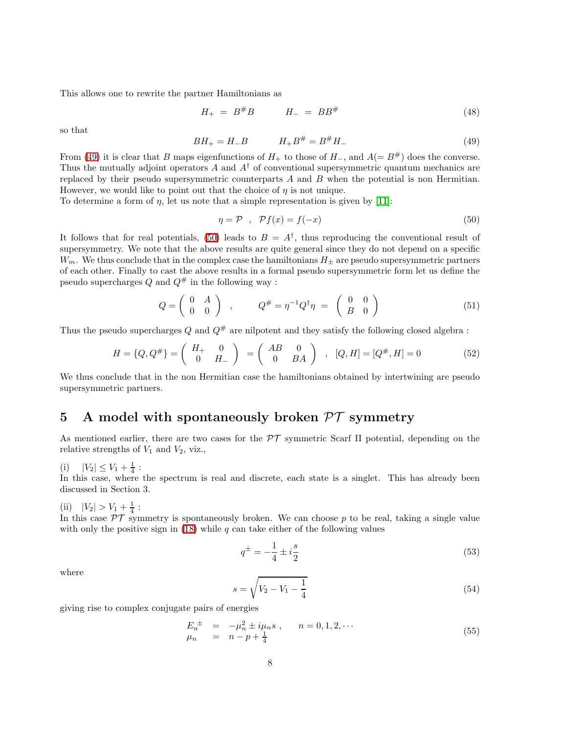This allows one to rewrite the partner Hamiltonians as

$$
H_{+} = B^{\#}B \qquad H_{-} = BB^{\#} \tag{48}
$$

so that

<span id="page-7-0"></span>
$$
BH_{+} = H_{-}B \qquad H_{+}B^{\#} = B^{\#}H_{-} \tag{49}
$$

From [\(49\)](#page-7-0) it is clear that B maps eigenfunctions of  $H_+$  to those of  $H_-,$  and  $A(= B^*)$  does the converse. Thus the mutually adjoint operators A and  $A^{\dagger}$  of conventional supersymmetric quantum mechanics are replaced by their pseudo supersymmetric counterparts  $A$  and  $B$  when the potential is non Hermitian. However, we would like to point out that the choice of  $\eta$  is not unique.

To determine a form of  $\eta$ , let us note that a simple representation is given by [\[11\]](#page-9-10):

<span id="page-7-1"></span>
$$
\eta = \mathcal{P} \quad , \quad \mathcal{P}f(x) = f(-x) \tag{50}
$$

It follows that for real potentials, [\(50\)](#page-7-1) leads to  $B = A^{\dagger}$ , thus reproducing the conventional result of supersymmetry. We note that the above results are quite general since they do not depend on a specific  $W_m$ . We thus conclude that in the complex case the hamiltonians  $H_{\pm}$  are pseudo supersymmetric partners of each other. Finally to cast the above results in a formal pseudo supersymmetric form let us define the pseudo supercharges  $Q$  and  $Q^{\#}$  in the following way :

$$
Q = \left(\begin{array}{cc} 0 & A \\ 0 & 0 \end{array}\right) , \qquad Q^{\#} = \eta^{-1} Q^{\dagger} \eta = \left(\begin{array}{cc} 0 & 0 \\ B & 0 \end{array}\right)
$$
 (51)

Thus the pseudo supercharges Q and  $Q^{\#}$  are nilpotent and they satisfy the following closed algebra :

$$
H = \{Q, Q^{\#}\} = \begin{pmatrix} H_{+} & 0 \\ 0 & H_{-} \end{pmatrix} = \begin{pmatrix} AB & 0 \\ 0 & BA \end{pmatrix} , [Q, H] = [Q^{\#}, H] = 0 \tag{52}
$$

We thus conclude that in the non Hermitian case the hamiltonians obtained by intertwining are pseudo supersymmetric partners.

### 5 A model with spontaneously broken  $\mathcal{PT}$  symmetry

As mentioned earlier, there are two cases for the  $\mathcal{PT}$  symmetric Scarf II potential, depending on the relative strengths of  $V_1$  and  $V_2$ , viz.,

(i)  $|V_2| \leq V_1 + \frac{1}{4}$ :

In this case, where the spectrum is real and discrete, each state is a singlet. This has already been discussed in Section 3.

(ii)  $|V_2| > V_1 + \frac{1}{4}$ :

In this case  $\mathcal{PT}$  symmetry is spontaneously broken. We can choose p to be real, taking a single value with only the positive sign in [\(18\)](#page-3-0) while  $q$  can take either of the following values

$$
q^{\pm} = -\frac{1}{4} \pm i\frac{s}{2} \tag{53}
$$

where

$$
s = \sqrt{V_2 - V_1 - \frac{1}{4}}\tag{54}
$$

giving rise to complex conjugate pairs of energies

$$
E_n^{\pm} = -\mu_n^2 \pm i\mu_n s , \qquad n = 0, 1, 2, \cdots \n\mu_n = n - p + \frac{1}{4}
$$
\n(55)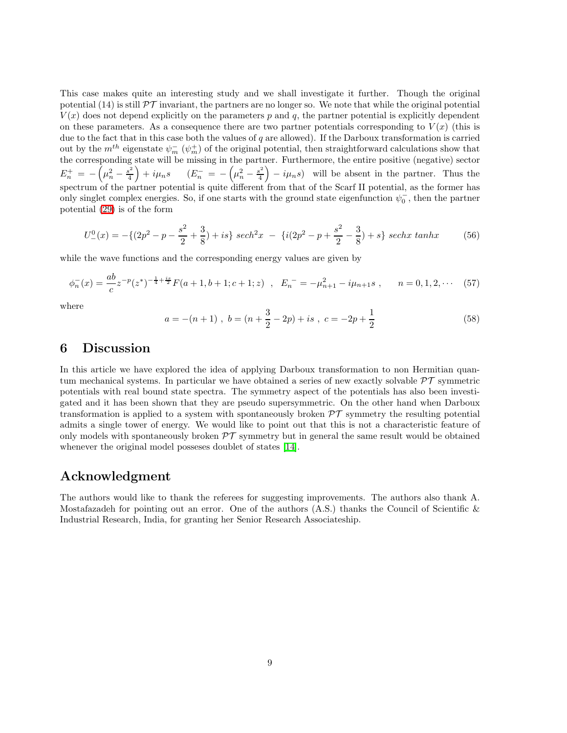This case makes quite an interesting study and we shall investigate it further. Though the original potential (14) is still  $\mathcal{P}\mathcal{T}$  invariant, the partners are no longer so. We note that while the original potential  $V(x)$  does not depend explicitly on the parameters p and q, the partner potential is explicitly dependent on these parameters. As a consequence there are two partner potentials corresponding to  $V(x)$  (this is due to the fact that in this case both the values of  $q$  are allowed). If the Darboux transformation is carried out by the  $m^{th}$  eigenstate  $\psi_m^-(\psi_m^+)$  of the original potential, then straightforward calculations show that the corresponding state will be missing in the partner. Furthermore, the entire positive (negative) sector  $E_n^+ = -\left(\mu_n^2 - \frac{s^2}{4}\right)$  $\left(\frac{s^2}{4}\right) + i\mu_n s$   $\left(E_n^- = -\left(\mu_n^2 - \frac{s^2}{4}\right)\right)$  $\left(\frac{s^2}{4}\right) - i\mu_n s$  will be absent in the partner. Thus the spectrum of the partner potential is quite different from that of the Scarf II potential, as the former has only singlet complex energies. So, if one starts with the ground state eigenfunction  $\psi_0^-$ , then the partner potential [\(29\)](#page-4-0) is of the form

$$
U_{-}^{0}(x) = -\{(2p^{2} - p - \frac{s^{2}}{2} + \frac{3}{8}) + is\} sech^{2}x - \{(i(2p^{2} - p + \frac{s^{2}}{2} - \frac{3}{8}) + s\} sechx \tanh x
$$
 (56)

while the wave functions and the corresponding energy values are given by

$$
\phi_n^-(x) = \frac{ab}{c} z^{-p} (z^*)^{-\frac{1}{4} + \frac{is}{2}} F(a+1, b+1; c+1; z) , \quad E_n^- = -\mu_{n+1}^2 - i\mu_{n+1} s , \qquad n = 0, 1, 2, \cdots \tag{57}
$$

where

$$
a = -(n+1), b = (n + \frac{3}{2} - 2p) + is, c = -2p + \frac{1}{2}
$$
\n(58)

#### 6 Discussion

In this article we have explored the idea of applying Darboux transformation to non Hermitian quantum mechanical systems. In particular we have obtained a series of new exactly solvable  $\mathcal{PT}$  symmetric potentials with real bound state spectra. The symmetry aspect of the potentials has also been investigated and it has been shown that they are pseudo supersymmetric. On the other hand when Darboux transformation is applied to a system with spontaneously broken  $\mathcal{PT}$  symmetry the resulting potential admits a single tower of energy. We would like to point out that this is not a characteristic feature of only models with spontaneously broken  $\mathcal{PT}$  symmetry but in general the same result would be obtained whenever the original model posseses doublet of states [\[14\]](#page-9-13).

#### Acknowledgment

The authors would like to thank the referees for suggesting improvements. The authors also thank A. Mostafazadeh for pointing out an error. One of the authors  $(A.S.)$  thanks the Council of Scientific  $\&$ Industrial Research, India, for granting her Senior Research Associateship.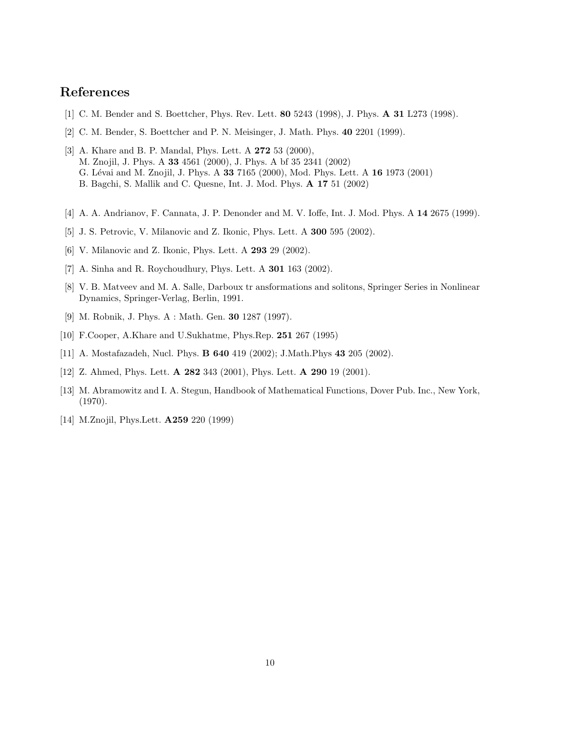# <span id="page-9-0"></span>References

- <span id="page-9-1"></span>[1] C. M. Bender and S. Boettcher, Phys. Rev. Lett. **80** 5243 (1998), J. Phys. **A 31** L273 (1998).
- <span id="page-9-2"></span>[2] C. M. Bender, S. Boettcher and P. N. Meisinger, J. Math. Phys. 40 2201 (1999).
- [3] A. Khare and B. P. Mandal, Phys. Lett. A **272** 53 (2000), M. Znojil, J. Phys. A 33 4561 (2000), J. Phys. A bf 35 2341 (2002) G. Lévai and M. Znojil, J. Phys. A 33 7165 (2000), Mod. Phys. Lett. A 16 1973 (2001) B. Bagchi, S. Mallik and C. Quesne, Int. J. Mod. Phys. A 17 51 (2002)
- <span id="page-9-4"></span><span id="page-9-3"></span>[4] A. A. Andrianov, F. Cannata, J. P. Denonder and M. V. Ioffe, Int. J. Mod. Phys. A 14 2675 (1999).
- <span id="page-9-5"></span>[5] J. S. Petrovic, V. Milanovic and Z. Ikonic, Phys. Lett. A 300 595 (2002).
- <span id="page-9-6"></span>[6] V. Milanovic and Z. Ikonic, Phys. Lett. A 293 29 (2002).
- <span id="page-9-7"></span>[7] A. Sinha and R. Roychoudhury, Phys. Lett. A 301 163 (2002).
- [8] V. B. Matveev and M. A. Salle, Darboux tr ansformations and solitons, Springer Series in Nonlinear Dynamics, Springer-Verlag, Berlin, 1991.
- <span id="page-9-8"></span>[9] M. Robnik, J. Phys. A : Math. Gen. 30 1287 (1997).
- <span id="page-9-10"></span><span id="page-9-9"></span>[10] F.Cooper, A.Khare and U.Sukhatme, Phys.Rep. 251 267 (1995)
- <span id="page-9-11"></span>[11] A. Mostafazadeh, Nucl. Phys. B 640 419 (2002); J.Math.Phys 43 205 (2002).
- <span id="page-9-12"></span>[12] Z. Ahmed, Phys. Lett. **A 282** 343 (2001), Phys. Lett. **A 290** 19 (2001).
- [13] M. Abramowitz and I. A. Stegun, Handbook of Mathematical Functions, Dover Pub. Inc., New York, (1970).
- <span id="page-9-13"></span>[14] M.Znojil, Phys.Lett. **A259** 220 (1999)